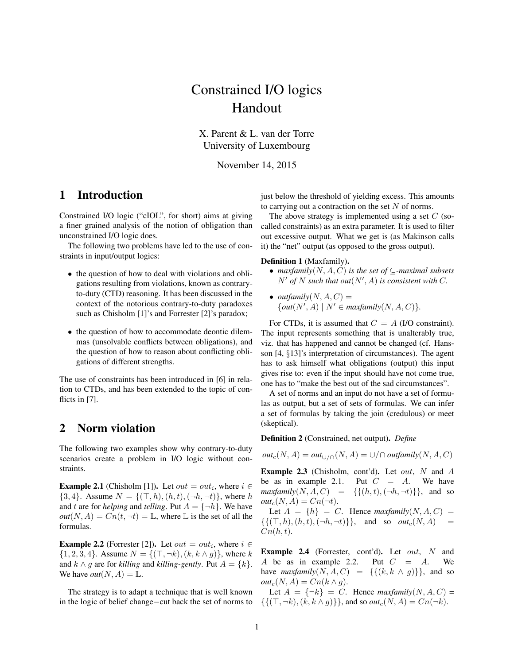# Constrained I/O logics Handout

X. Parent & L. van der Torre University of Luxembourg

November 14, 2015

## 1 Introduction

Constrained I/O logic ("cIOL", for short) aims at giving a finer grained analysis of the notion of obligation than unconstrained I/O logic does.

The following two problems have led to the use of constraints in input/output logics:

- the question of how to deal with violations and obligations resulting from violations, known as contraryto-duty (CTD) reasoning. It has been discussed in the context of the notorious contrary-to-duty paradoxes such as Chisholm [1]'s and Forrester [2]'s paradox;
- the question of how to accommodate deontic dilemmas (unsolvable conflicts between obligations), and the question of how to reason about conflicting obligations of different strengths.

The use of constraints has been introduced in [6] in relation to CTDs, and has been extended to the topic of conflicts in [7].

## 2 Norm violation

The following two examples show why contrary-to-duty scenarios create a problem in I/O logic without constraints.

**Example 2.1** (Chisholm [1]). Let  $out = out_i$ , where  $i \in$  $\{3, 4\}$ . Assume  $N = \{(\top, h), (h, t), (\neg h, \neg t)\}\$ , where h and t are for *helping* and *telling*. Put  $A = \{\neg h\}$ . We have  $out(N, A) = Cn(t, \neg t) = \mathbb{L}$ , where  $\mathbb L$  is the set of all the formulas.

**Example 2.2** (Forrester [2]). Let  $out = out_i$ , where  $i \in$  $\{1, 2, 3, 4\}$ . Assume  $N = \{(\top, \neg k), (k, k \wedge g)\}\$ , where k and  $k \wedge g$  are for *killing* and *killing-gently*. Put  $A = \{k\}.$ We have *out*( $N, A$ ) = L.

The strategy is to adapt a technique that is well known in the logic of belief change−cut back the set of norms to just below the threshold of yielding excess. This amounts to carrying out a contraction on the set  $N$  of norms.

The above strategy is implemented using a set  $C$  (socalled constraints) as an extra parameter. It is used to filter out excessive output. What we get is (as Makinson calls it) the "net" output (as opposed to the gross output).

#### Definition 1 (Maxfamily).

- *maxfamily*(N, A, C) *is the set of* ⊆*-maximal subsets*  $N'$  of  $N$  such that out $(N', A)$  is consistent with C.
- *outfamily* $(N, A, C) =$  $\{out(N', A) \mid N' \in \text{maxfamily}(N, A, C)\}.$

For CTDs, it is assumed that  $C = A$  (I/O constraint). The input represents something that is unalterably true, viz. that has happened and cannot be changed (cf. Hansson [4, §13]'s interpretation of circumstances). The agent has to ask himself what obligations (output) this input gives rise to: even if the input should have not come true, one has to "make the best out of the sad circumstances".

A set of norms and an input do not have a set of formulas as output, but a set of sets of formulas. We can infer a set of formulas by taking the join (credulous) or meet (skeptical).

Definition 2 (Constrained, net output). *Define*

 $out_c(N, A) = out_{\cup/\cap}(N, A) = \cup/\cap outfamily(N, A, C)$ 

**Example 2.3** (Chisholm, cont'd). Let out, N and A be as in example 2.1. Put  $C = A$ . We have  $maxfamily(N, A, C) = \{ \{(h, t), (\neg h, \neg t) \} \},$  and so  $out_c(N, A) = Cn(\neg t).$ 

Let  $A = \{h\} = C$ . Hence maxfamily(N, A, C) =  $\{\{(\top, h), (h, t), (\neg h, \neg t)\}\}\$ , and so  $out_c(N, A)$  $C_n(h,t)$ .

**Example 2.4** (Forrester, cont'd). Let out,  $N$  and A be as in example 2.2. Put  $C = A$ . We have  $maxfamily(N, A, C) = \{ \{ (k, k \wedge g) \} \}$ , and so  $out_c(N, A) = Cn(k \wedge g)$ .

Let  $A = \{\neg k\} = C$ . Hence *maxfamily*(N, A, C) =  $\{\{(\top, \neg k), (k, k \wedge g)\}\}\$ , and so *out*<sub>c</sub> $(N, A) = Cn(\neg k)$ .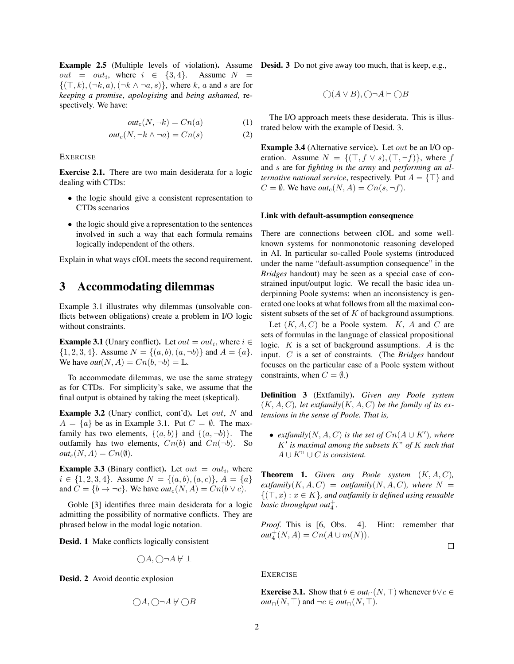**Example 2.5** (Multiple levels of violation). Assume **Desid. 3** Do not give away too much, that is keep, e.g.,  $out = out_i$ , where  $i \in \{3, 4\}$ . Assume  $N =$  $\{(\top, k), (\neg k, a), (\neg k \wedge \neg a, s)\},\,$  where k, a and s are for *keeping a promise*, *apologising* and *being ashamed*, respectively. We have:

$$
out_c(N, \neg k) = Cn(a) \tag{1}
$$

$$
out_c(N, \neg k \land \neg a) = Cn(s) \tag{2}
$$

**EXERCISE** 

Exercise 2.1. There are two main desiderata for a logic dealing with CTDs:

- the logic should give a consistent representation to CTDs scenarios
- the logic should give a representation to the sentences involved in such a way that each formula remains logically independent of the others.

Explain in what ways cIOL meets the second requirement.

#### 3 Accommodating dilemmas

Example 3.1 illustrates why dilemmas (unsolvable conflicts between obligations) create a problem in I/O logic without constraints.

**Example 3.1** (Unary conflict). Let  $out = out_i$ , where  $i \in$  $\{1, 2, 3, 4\}$ . Assume  $N = \{(a, b), (a, \neg b)\}\$  and  $A = \{a\}$ . We have  $out(N, A) = Cn(b, \neg b) = \mathbb{L}$ .

To accommodate dilemmas, we use the same strategy as for CTDs. For simplicity's sake, we assume that the final output is obtained by taking the meet (skeptical).

**Example 3.2** (Unary conflict, cont'd). Let *out*,  $N$  and  $A = \{a\}$  be as in Example 3.1. Put  $C = \emptyset$ . The maxfamily has two elements,  $\{(a, b)\}\$  and  $\{(a, \neg b)\}\$ . The outfamily has two elements,  $Cn(b)$  and  $Cn(\neg b)$ . So  $out_c(N, A) = Cn(\emptyset).$ 

**Example 3.3** (Binary conflict). Let  $out = out_i$ , where  $i \in \{1, 2, 3, 4\}$ . Assume  $N = \{(a, b), (a, c)\}, A = \{a\}$ and  $C = \{b \rightarrow \neg c\}$ . We have  $out_c(N, A) = Cn(b \lor c)$ .

Goble [3] identifies three main desiderata for a logic admitting the possibility of normative conflicts. They are phrased below in the modal logic notation.

Desid. 1 Make conflicts logically consistent

$$
\bigcirc A, \bigcirc \neg A \not\vdash \bot
$$

Desid. 2 Avoid deontic explosion

$$
\bigcirc A, \bigcirc \neg A \not\vdash \bigcirc B
$$

$$
\bigcirc (A \lor B), \bigcirc \neg A \vdash \bigcirc B
$$

The I/O approach meets these desiderata. This is illustrated below with the example of Desid. 3.

Example 3.4 (Alternative service). Let out be an I/O operation. Assume  $N = \{(\top, f \lor s), (\top, \neg f)\}\$ , where f and s are for *fighting in the army* and *performing an alternative national service*, respectively. Put  $A = \{\top\}$  and  $C = \emptyset$ . We have  $out_c(N, A) = Cn(s, \neg f)$ .

#### Link with default-assumption consequence

There are connections between cIOL and some wellknown systems for nonmonotonic reasoning developed in AI. In particular so-called Poole systems (introduced under the name "default-assumption consequence" in the *Bridges* handout) may be seen as a special case of constrained input/output logic. We recall the basic idea underpinning Poole systems: when an inconsistency is generated one looks at what follows from all the maximal consistent subsets of the set of  $K$  of background assumptions.

Let  $(K, A, C)$  be a Poole system. K, A and C are sets of formulas in the language of classical propositional logic.  $K$  is a set of background assumptions. A is the input. C is a set of constraints. (The *Bridges* handout focuses on the particular case of a Poole system without constraints, when  $C = \emptyset$ .)

Definition 3 (Extfamily). *Given any Poole system*  $(K, A, C)$ *, let extfamily* $(K, A, C)$  *be the family of its extensions in the sense of Poole. That is,*

• *extfamily*( $N, A, C$ ) *is the set of*  $Cn(A \cup K')$ *, where*  $K'$  is maximal among the subsets  $K''$  of  $K$  such that  $A \cup K$ <sup>"</sup> ∪ *C is consistent.* 

**Theorem 1.** *Given any Poole system*  $(K, A, C)$ *,*  $ext{family}(K, A, C) = outfamily(N, A, C)$ *, where*  $N =$  ${({\top}, x) : x \in K}$ , and outfamily is defined using reusable *basic throughput out*<sup>+</sup><sub>4</sub>.

*Proof.* This is [6, Obs. 4]. Hint: remember that  $out_4^+(N, A) = Cn(A \cup m(N)).$ 

 $\Box$ 

#### **EXERCISE**

**Exercise 3.1.** Show that  $b \in out \cap (N, \top)$  whenever  $b \lor c \in$ *out*∩(*N*,  $\top$ ) and  $\neg c \in out \cap (N, \top)$ .